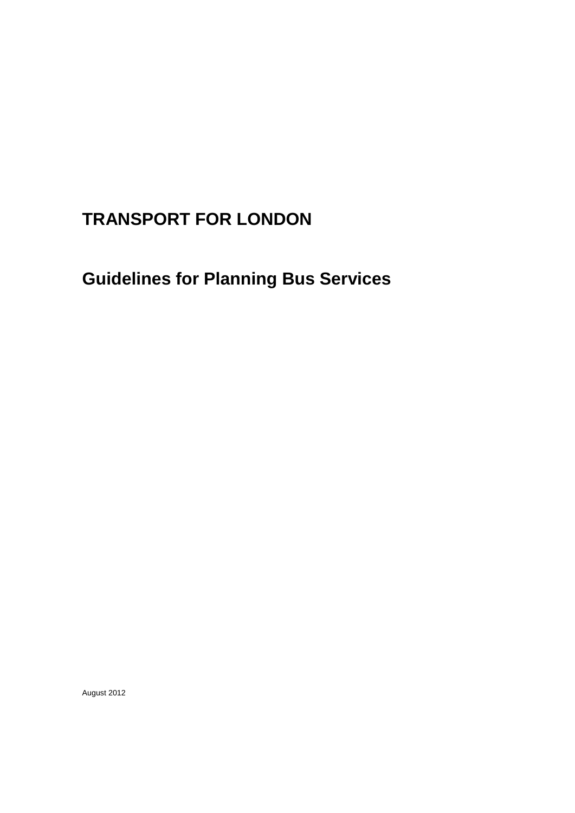# **TRANSPORT FOR LONDON**

**Guidelines for Planning Bus Services**

August 2012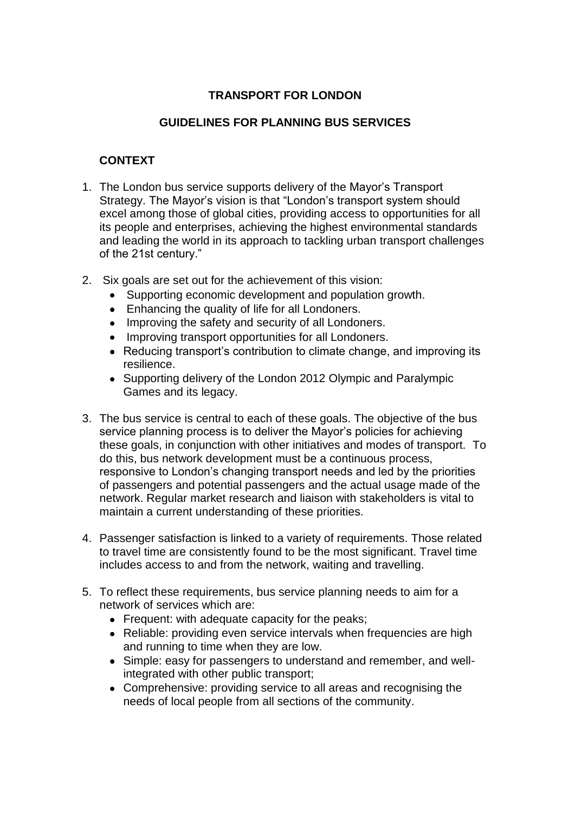# **TRANSPORT FOR LONDON**

# **GUIDELINES FOR PLANNING BUS SERVICES**

# **CONTEXT**

- 1. The London bus service supports delivery of the Mayor's Transport Strategy. The Mayor's vision is that "London's transport system should excel among those of global cities, providing access to opportunities for all its people and enterprises, achieving the highest environmental standards and leading the world in its approach to tackling urban transport challenges of the 21st century."
- 2. Six goals are set out for the achievement of this vision:
	- Supporting economic development and population growth.
	- Enhancing the quality of life for all Londoners.
	- Improving the safety and security of all Londoners.
	- Improving transport opportunities for all Londoners.
	- Reducing transport's contribution to climate change, and improving its resilience.
	- Supporting delivery of the London 2012 Olympic and Paralympic Games and its legacy.
- 3. The bus service is central to each of these goals. The objective of the bus service planning process is to deliver the Mayor's policies for achieving these goals, in conjunction with other initiatives and modes of transport. To do this, bus network development must be a continuous process, responsive to London's changing transport needs and led by the priorities of passengers and potential passengers and the actual usage made of the network. Regular market research and liaison with stakeholders is vital to maintain a current understanding of these priorities.
- 4. Passenger satisfaction is linked to a variety of requirements. Those related to travel time are consistently found to be the most significant. Travel time includes access to and from the network, waiting and travelling.
- 5. To reflect these requirements, bus service planning needs to aim for a network of services which are:
	- Frequent: with adequate capacity for the peaks;
	- Reliable: providing even service intervals when frequencies are high and running to time when they are low.
	- Simple: easy for passengers to understand and remember, and wellintegrated with other public transport;
	- Comprehensive: providing service to all areas and recognising the needs of local people from all sections of the community.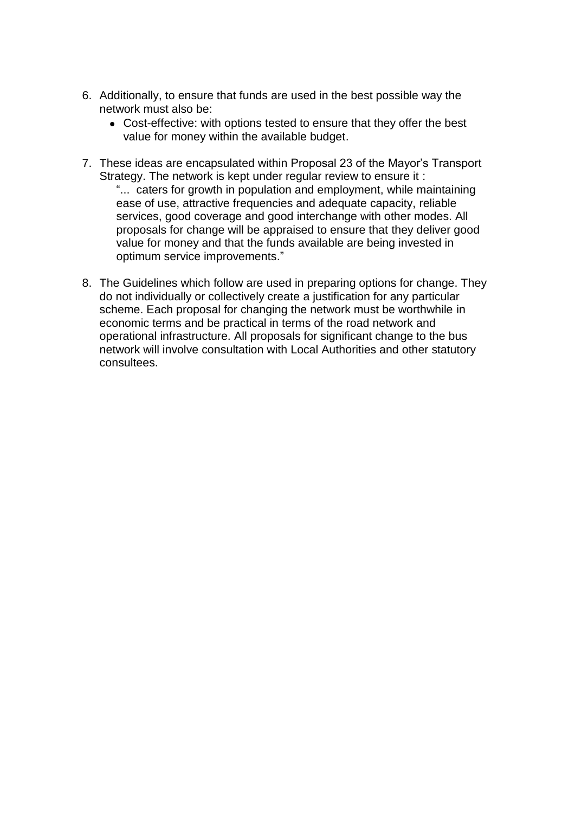- 6. Additionally, to ensure that funds are used in the best possible way the network must also be:
	- Cost-effective: with options tested to ensure that they offer the best value for money within the available budget.
- 7. These ideas are encapsulated within Proposal 23 of the Mayor's Transport Strategy. The network is kept under regular review to ensure it : "... caters for growth in population and employment, while maintaining ease of use, attractive frequencies and adequate capacity, reliable services, good coverage and good interchange with other modes. All proposals for change will be appraised to ensure that they deliver good value for money and that the funds available are being invested in optimum service improvements."
- 8. The Guidelines which follow are used in preparing options for change. They do not individually or collectively create a justification for any particular scheme. Each proposal for changing the network must be worthwhile in economic terms and be practical in terms of the road network and operational infrastructure. All proposals for significant change to the bus network will involve consultation with Local Authorities and other statutory consultees.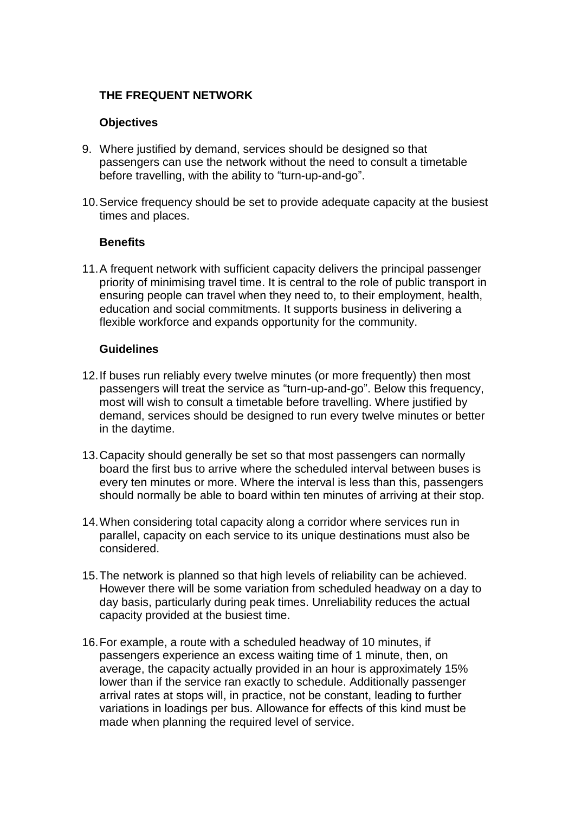# **THE FREQUENT NETWORK**

## **Objectives**

- 9. Where justified by demand, services should be designed so that passengers can use the network without the need to consult a timetable before travelling, with the ability to "turn-up-and-go".
- 10.Service frequency should be set to provide adequate capacity at the busiest times and places.

#### **Benefits**

11.A frequent network with sufficient capacity delivers the principal passenger priority of minimising travel time. It is central to the role of public transport in ensuring people can travel when they need to, to their employment, health, education and social commitments. It supports business in delivering a flexible workforce and expands opportunity for the community.

- 12.If buses run reliably every twelve minutes (or more frequently) then most passengers will treat the service as "turn-up-and-go". Below this frequency, most will wish to consult a timetable before travelling. Where justified by demand, services should be designed to run every twelve minutes or better in the daytime.
- 13.Capacity should generally be set so that most passengers can normally board the first bus to arrive where the scheduled interval between buses is every ten minutes or more. Where the interval is less than this, passengers should normally be able to board within ten minutes of arriving at their stop.
- 14.When considering total capacity along a corridor where services run in parallel, capacity on each service to its unique destinations must also be considered.
- 15.The network is planned so that high levels of reliability can be achieved. However there will be some variation from scheduled headway on a day to day basis, particularly during peak times. Unreliability reduces the actual capacity provided at the busiest time.
- 16.For example, a route with a scheduled headway of 10 minutes, if passengers experience an excess waiting time of 1 minute, then, on average, the capacity actually provided in an hour is approximately 15% lower than if the service ran exactly to schedule. Additionally passenger arrival rates at stops will, in practice, not be constant, leading to further variations in loadings per bus. Allowance for effects of this kind must be made when planning the required level of service.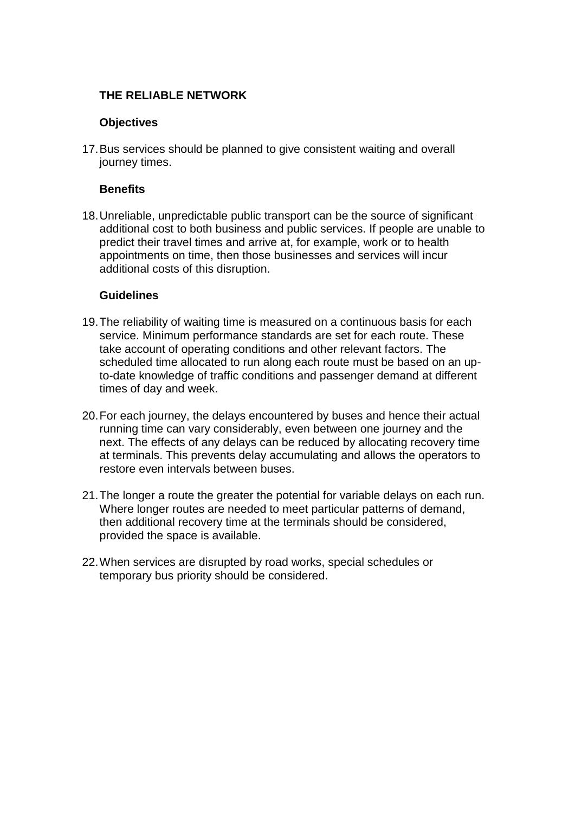# **THE RELIABLE NETWORK**

## **Objectives**

17.Bus services should be planned to give consistent waiting and overall journey times.

## **Benefits**

18.Unreliable, unpredictable public transport can be the source of significant additional cost to both business and public services. If people are unable to predict their travel times and arrive at, for example, work or to health appointments on time, then those businesses and services will incur additional costs of this disruption.

- 19.The reliability of waiting time is measured on a continuous basis for each service. Minimum performance standards are set for each route. These take account of operating conditions and other relevant factors. The scheduled time allocated to run along each route must be based on an upto-date knowledge of traffic conditions and passenger demand at different times of day and week.
- 20.For each journey, the delays encountered by buses and hence their actual running time can vary considerably, even between one journey and the next. The effects of any delays can be reduced by allocating recovery time at terminals. This prevents delay accumulating and allows the operators to restore even intervals between buses.
- 21.The longer a route the greater the potential for variable delays on each run. Where longer routes are needed to meet particular patterns of demand, then additional recovery time at the terminals should be considered, provided the space is available.
- 22.When services are disrupted by road works, special schedules or temporary bus priority should be considered.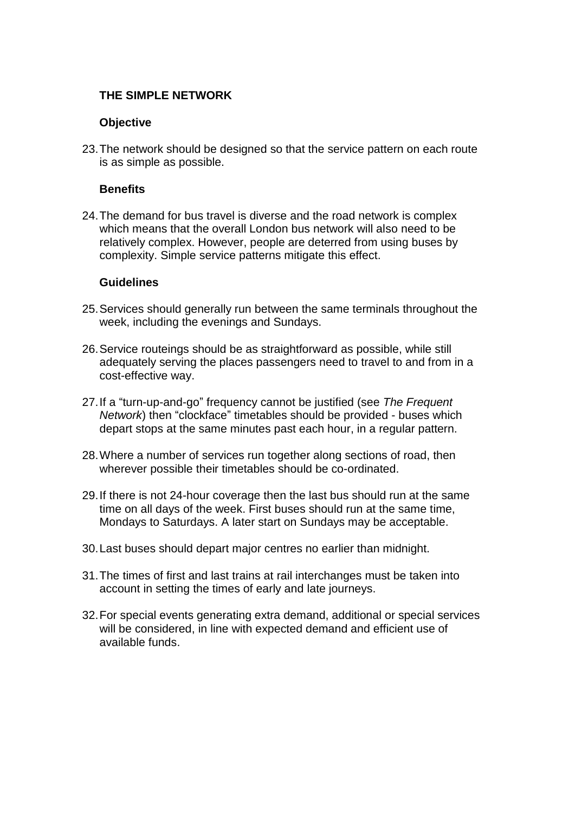## **THE SIMPLE NETWORK**

## **Objective**

23.The network should be designed so that the service pattern on each route is as simple as possible.

## **Benefits**

24.The demand for bus travel is diverse and the road network is complex which means that the overall London bus network will also need to be relatively complex. However, people are deterred from using buses by complexity. Simple service patterns mitigate this effect.

- 25.Services should generally run between the same terminals throughout the week, including the evenings and Sundays.
- 26.Service routeings should be as straightforward as possible, while still adequately serving the places passengers need to travel to and from in a cost-effective way.
- 27.If a "turn-up-and-go" frequency cannot be justified (see *The Frequent Network*) then "clockface" timetables should be provided - buses which depart stops at the same minutes past each hour, in a regular pattern.
- 28.Where a number of services run together along sections of road, then wherever possible their timetables should be co-ordinated.
- 29.If there is not 24-hour coverage then the last bus should run at the same time on all days of the week. First buses should run at the same time, Mondays to Saturdays. A later start on Sundays may be acceptable.
- 30.Last buses should depart major centres no earlier than midnight.
- 31.The times of first and last trains at rail interchanges must be taken into account in setting the times of early and late journeys.
- 32.For special events generating extra demand, additional or special services will be considered, in line with expected demand and efficient use of available funds.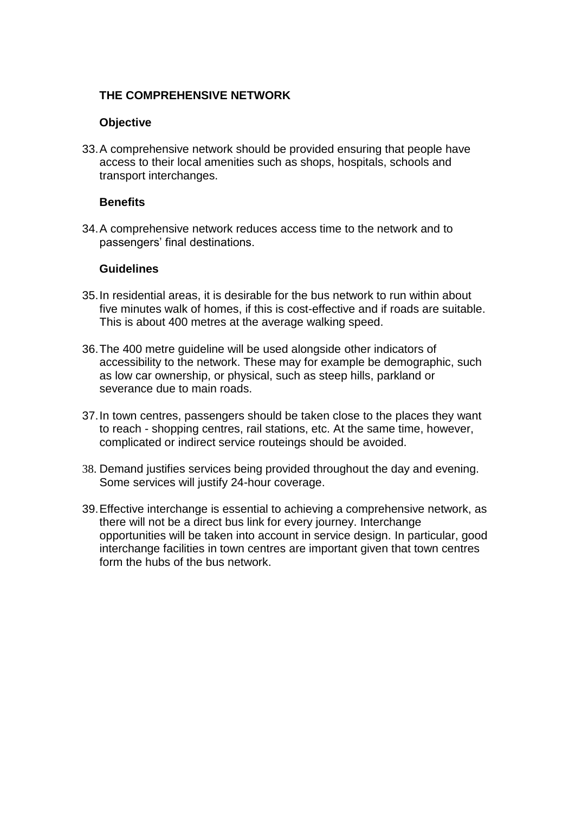## **THE COMPREHENSIVE NETWORK**

## **Objective**

33.A comprehensive network should be provided ensuring that people have access to their local amenities such as shops, hospitals, schools and transport interchanges.

## **Benefits**

34.A comprehensive network reduces access time to the network and to passengers' final destinations.

- 35.In residential areas, it is desirable for the bus network to run within about five minutes walk of homes, if this is cost-effective and if roads are suitable. This is about 400 metres at the average walking speed.
- 36.The 400 metre guideline will be used alongside other indicators of accessibility to the network. These may for example be demographic, such as low car ownership, or physical, such as steep hills, parkland or severance due to main roads.
- 37.In town centres, passengers should be taken close to the places they want to reach - shopping centres, rail stations, etc. At the same time, however, complicated or indirect service routeings should be avoided.
- 38. Demand justifies services being provided throughout the day and evening. Some services will justify 24-hour coverage.
- 39.Effective interchange is essential to achieving a comprehensive network, as there will not be a direct bus link for every journey. Interchange opportunities will be taken into account in service design. In particular, good interchange facilities in town centres are important given that town centres form the hubs of the bus network.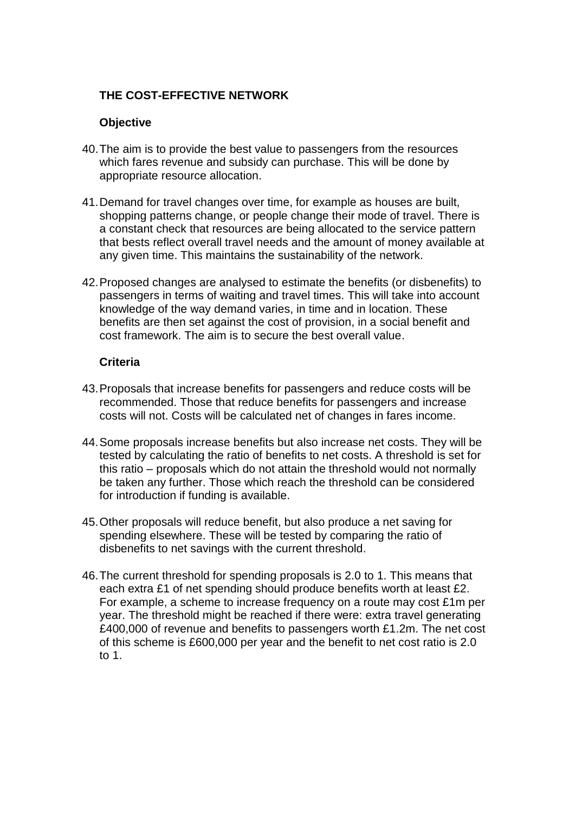# **THE COST-EFFECTIVE NETWORK**

# **Objective**

- 40.The aim is to provide the best value to passengers from the resources which fares revenue and subsidy can purchase. This will be done by appropriate resource allocation.
- 41.Demand for travel changes over time, for example as houses are built, shopping patterns change, or people change their mode of travel. There is a constant check that resources are being allocated to the service pattern that bests reflect overall travel needs and the amount of money available at any given time. This maintains the sustainability of the network.
- 42.Proposed changes are analysed to estimate the benefits (or disbenefits) to passengers in terms of waiting and travel times. This will take into account knowledge of the way demand varies, in time and in location. These benefits are then set against the cost of provision, in a social benefit and cost framework. The aim is to secure the best overall value.

## **Criteria**

- 43.Proposals that increase benefits for passengers and reduce costs will be recommended. Those that reduce benefits for passengers and increase costs will not. Costs will be calculated net of changes in fares income.
- 44.Some proposals increase benefits but also increase net costs. They will be tested by calculating the ratio of benefits to net costs. A threshold is set for this ratio – proposals which do not attain the threshold would not normally be taken any further. Those which reach the threshold can be considered for introduction if funding is available.
- 45.Other proposals will reduce benefit, but also produce a net saving for spending elsewhere. These will be tested by comparing the ratio of disbenefits to net savings with the current threshold.
- 46.The current threshold for spending proposals is 2.0 to 1. This means that each extra £1 of net spending should produce benefits worth at least £2. For example, a scheme to increase frequency on a route may cost £1m per year. The threshold might be reached if there were: extra travel generating £400,000 of revenue and benefits to passengers worth £1.2m. The net cost of this scheme is £600,000 per year and the benefit to net cost ratio is 2.0 to 1.